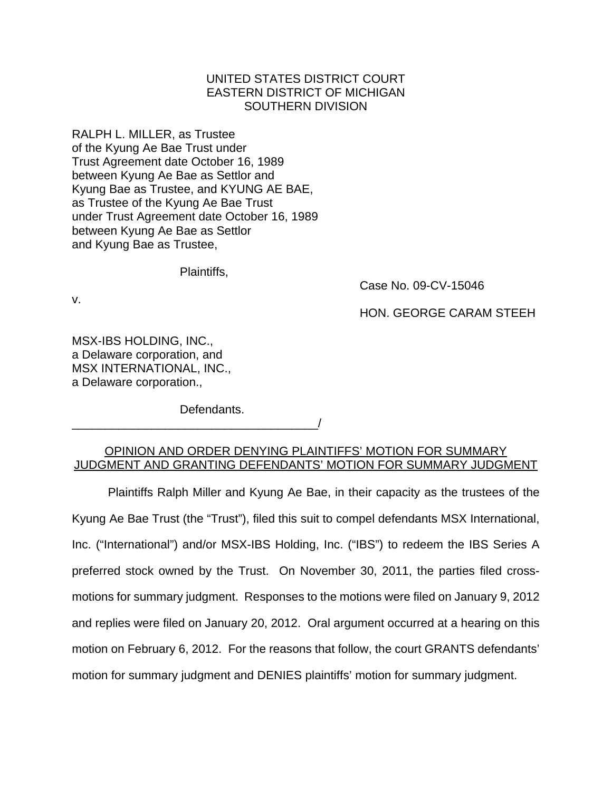# UNITED STATES DISTRICT COURT EASTERN DISTRICT OF MICHIGAN SOUTHERN DIVISION

RALPH L. MILLER, as Trustee of the Kyung Ae Bae Trust under Trust Agreement date October 16, 1989 between Kyung Ae Bae as Settlor and Kyung Bae as Trustee, and KYUNG AE BAE, as Trustee of the Kyung Ae Bae Trust under Trust Agreement date October 16, 1989 between Kyung Ae Bae as Settlor and Kyung Bae as Trustee,

Plaintiffs,

Case No. 09-CV-15046

v.

HON. GEORGE CARAM STEEH

MSX-IBS HOLDING, INC., a Delaware corporation, and MSX INTERNATIONAL, INC., a Delaware corporation.,

Defendants.

\_\_\_\_\_\_\_\_\_\_\_\_\_\_\_\_\_\_\_\_\_\_\_\_\_\_\_\_\_\_\_\_\_\_\_\_\_/

OPINION AND ORDER DENYING PLAINTIFFS' MOTION FOR SUMMARY JUDGMENT AND GRANTING DEFENDANTS' MOTION FOR SUMMARY JUDGMENT

Plaintiffs Ralph Miller and Kyung Ae Bae, in their capacity as the trustees of the Kyung Ae Bae Trust (the "Trust"), filed this suit to compel defendants MSX International, Inc. ("International") and/or MSX-IBS Holding, Inc. ("IBS") to redeem the IBS Series A preferred stock owned by the Trust. On November 30, 2011, the parties filed crossmotions for summary judgment. Responses to the motions were filed on January 9, 2012 and replies were filed on January 20, 2012. Oral argument occurred at a hearing on this motion on February 6, 2012. For the reasons that follow, the court GRANTS defendants' motion for summary judgment and DENIES plaintiffs' motion for summary judgment.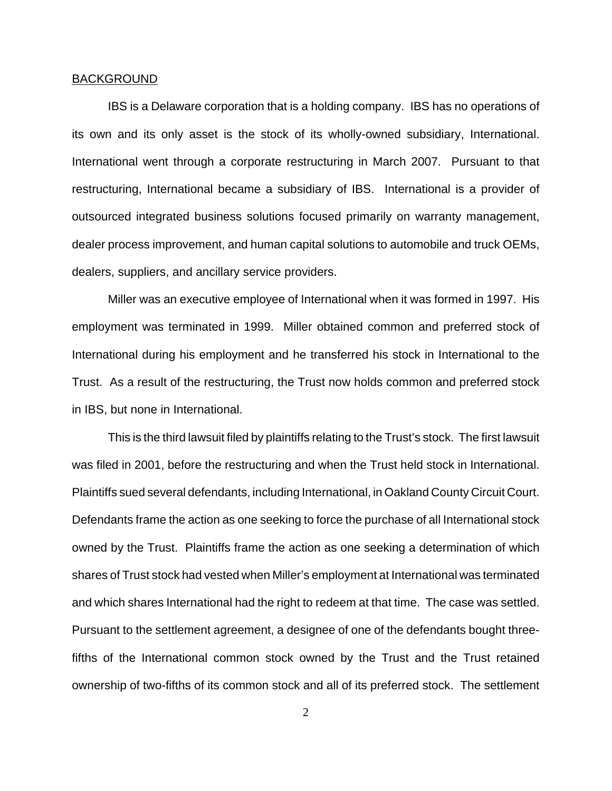#### BACKGROUND

IBS is a Delaware corporation that is a holding company. IBS has no operations of its own and its only asset is the stock of its wholly-owned subsidiary, International. International went through a corporate restructuring in March 2007. Pursuant to that restructuring, International became a subsidiary of IBS. International is a provider of outsourced integrated business solutions focused primarily on warranty management, dealer process improvement, and human capital solutions to automobile and truck OEMs, dealers, suppliers, and ancillary service providers.

Miller was an executive employee of International when it was formed in 1997. His employment was terminated in 1999. Miller obtained common and preferred stock of International during his employment and he transferred his stock in International to the Trust. As a result of the restructuring, the Trust now holds common and preferred stock in IBS, but none in International.

This is the third lawsuit filed by plaintiffs relating to the Trust's stock. The first lawsuit was filed in 2001, before the restructuring and when the Trust held stock in International. Plaintiffs sued several defendants, including International, in Oakland County Circuit Court. Defendants frame the action as one seeking to force the purchase of all International stock owned by the Trust. Plaintiffs frame the action as one seeking a determination of which shares of Trust stock had vested when Miller's employment at International was terminated and which shares International had the right to redeem at that time. The case was settled. Pursuant to the settlement agreement, a designee of one of the defendants bought threefifths of the International common stock owned by the Trust and the Trust retained ownership of two-fifths of its common stock and all of its preferred stock. The settlement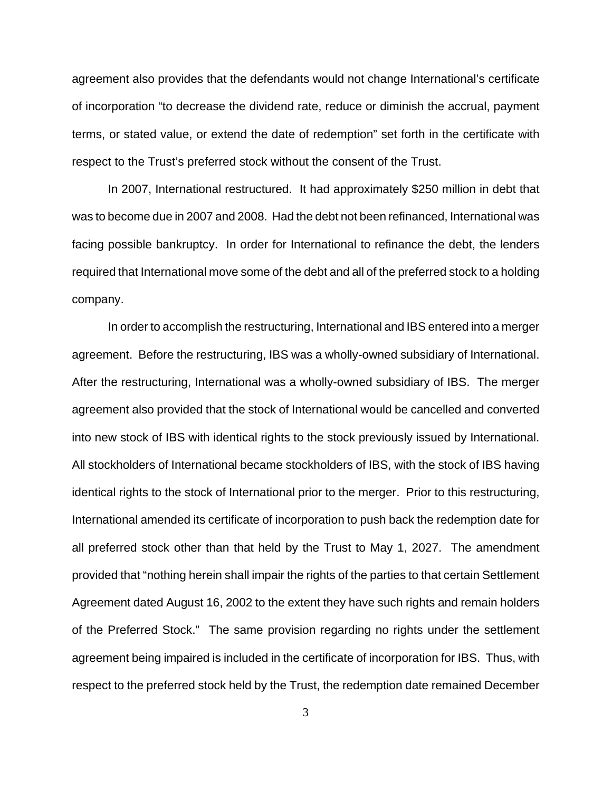agreement also provides that the defendants would not change International's certificate of incorporation "to decrease the dividend rate, reduce or diminish the accrual, payment terms, or stated value, or extend the date of redemption" set forth in the certificate with respect to the Trust's preferred stock without the consent of the Trust.

In 2007, International restructured. It had approximately \$250 million in debt that was to become due in 2007 and 2008. Had the debt not been refinanced, International was facing possible bankruptcy. In order for International to refinance the debt, the lenders required that International move some of the debt and all of the preferred stock to a holding company.

In order to accomplish the restructuring, International and IBS entered into a merger agreement. Before the restructuring, IBS was a wholly-owned subsidiary of International. After the restructuring, International was a wholly-owned subsidiary of IBS. The merger agreement also provided that the stock of International would be cancelled and converted into new stock of IBS with identical rights to the stock previously issued by International. All stockholders of International became stockholders of IBS, with the stock of IBS having identical rights to the stock of International prior to the merger. Prior to this restructuring, International amended its certificate of incorporation to push back the redemption date for all preferred stock other than that held by the Trust to May 1, 2027. The amendment provided that "nothing herein shall impair the rights of the parties to that certain Settlement Agreement dated August 16, 2002 to the extent they have such rights and remain holders of the Preferred Stock." The same provision regarding no rights under the settlement agreement being impaired is included in the certificate of incorporation for IBS. Thus, with respect to the preferred stock held by the Trust, the redemption date remained December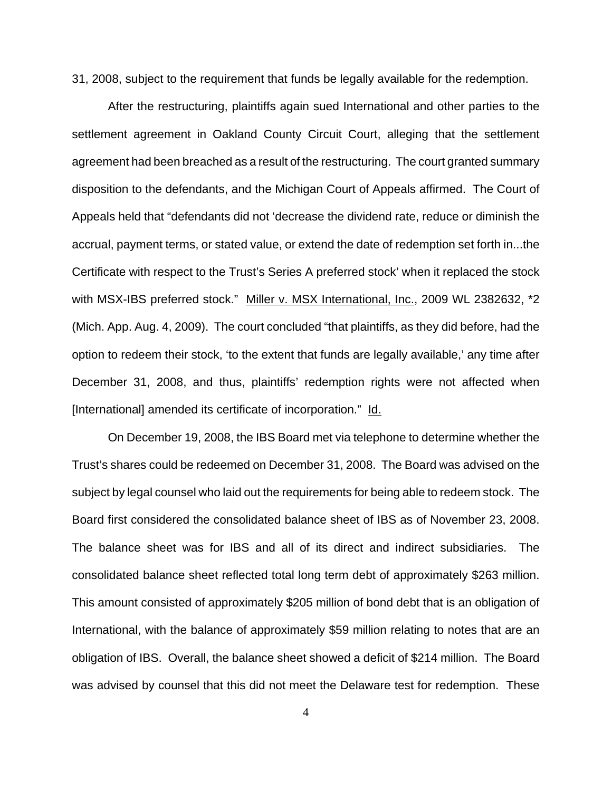31, 2008, subject to the requirement that funds be legally available for the redemption.

After the restructuring, plaintiffs again sued International and other parties to the settlement agreement in Oakland County Circuit Court, alleging that the settlement agreement had been breached as a result of the restructuring. The court granted summary disposition to the defendants, and the Michigan Court of Appeals affirmed. The Court of Appeals held that "defendants did not 'decrease the dividend rate, reduce or diminish the accrual, payment terms, or stated value, or extend the date of redemption set forth in...the Certificate with respect to the Trust's Series A preferred stock' when it replaced the stock with MSX-IBS preferred stock." Miller v. MSX International, Inc., 2009 WL 2382632, \*2 (Mich. App. Aug. 4, 2009). The court concluded "that plaintiffs, as they did before, had the option to redeem their stock, 'to the extent that funds are legally available,' any time after December 31, 2008, and thus, plaintiffs' redemption rights were not affected when [International] amended its certificate of incorporation." Id.

On December 19, 2008, the IBS Board met via telephone to determine whether the Trust's shares could be redeemed on December 31, 2008. The Board was advised on the subject by legal counsel who laid out the requirements for being able to redeem stock. The Board first considered the consolidated balance sheet of IBS as of November 23, 2008. The balance sheet was for IBS and all of its direct and indirect subsidiaries. The consolidated balance sheet reflected total long term debt of approximately \$263 million. This amount consisted of approximately \$205 million of bond debt that is an obligation of International, with the balance of approximately \$59 million relating to notes that are an obligation of IBS. Overall, the balance sheet showed a deficit of \$214 million. The Board was advised by counsel that this did not meet the Delaware test for redemption. These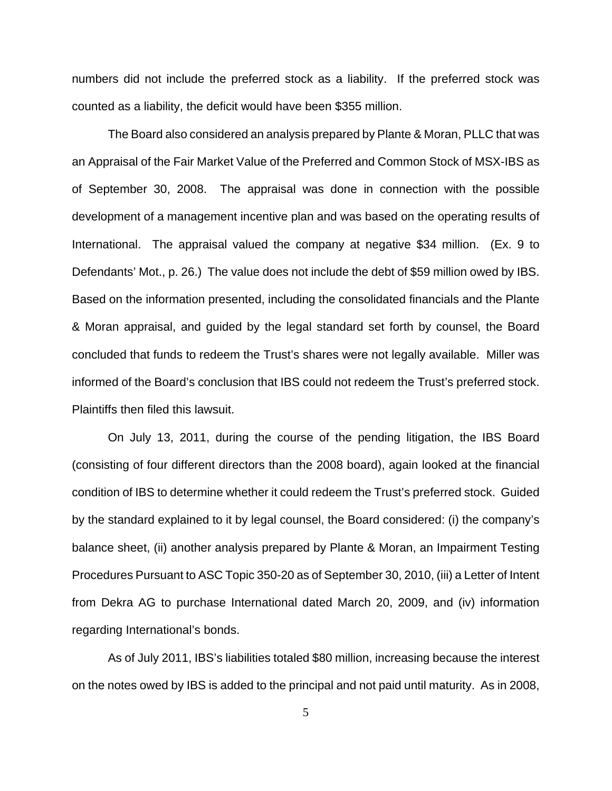numbers did not include the preferred stock as a liability. If the preferred stock was counted as a liability, the deficit would have been \$355 million.

The Board also considered an analysis prepared by Plante & Moran, PLLC that was an Appraisal of the Fair Market Value of the Preferred and Common Stock of MSX-IBS as of September 30, 2008. The appraisal was done in connection with the possible development of a management incentive plan and was based on the operating results of International. The appraisal valued the company at negative \$34 million. (Ex. 9 to Defendants' Mot., p. 26.) The value does not include the debt of \$59 million owed by IBS. Based on the information presented, including the consolidated financials and the Plante & Moran appraisal, and guided by the legal standard set forth by counsel, the Board concluded that funds to redeem the Trust's shares were not legally available. Miller was informed of the Board's conclusion that IBS could not redeem the Trust's preferred stock. Plaintiffs then filed this lawsuit.

On July 13, 2011, during the course of the pending litigation, the IBS Board (consisting of four different directors than the 2008 board), again looked at the financial condition of IBS to determine whether it could redeem the Trust's preferred stock. Guided by the standard explained to it by legal counsel, the Board considered: (i) the company's balance sheet, (ii) another analysis prepared by Plante & Moran, an Impairment Testing Procedures Pursuant to ASC Topic 350-20 as of September 30, 2010, (iii) a Letter of Intent from Dekra AG to purchase International dated March 20, 2009, and (iv) information regarding International's bonds.

As of July 2011, IBS's liabilities totaled \$80 million, increasing because the interest on the notes owed by IBS is added to the principal and not paid until maturity. As in 2008,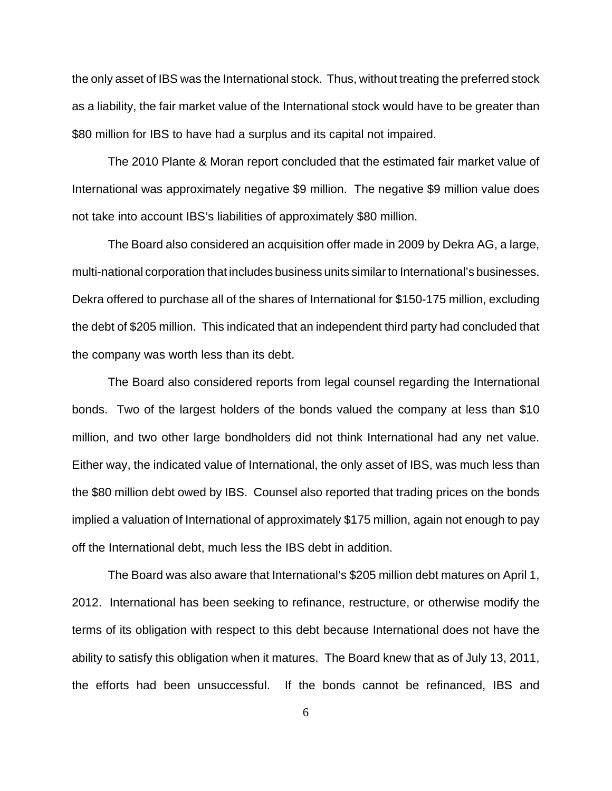the only asset of IBS was the International stock. Thus, without treating the preferred stock as a liability, the fair market value of the International stock would have to be greater than \$80 million for IBS to have had a surplus and its capital not impaired.

The 2010 Plante & Moran report concluded that the estimated fair market value of International was approximately negative \$9 million. The negative \$9 million value does not take into account IBS's liabilities of approximately \$80 million.

The Board also considered an acquisition offer made in 2009 by Dekra AG, a large, multi-national corporation that includes business units similar to International's businesses. Dekra offered to purchase all of the shares of International for \$150-175 million, excluding the debt of \$205 million. This indicated that an independent third party had concluded that the company was worth less than its debt.

The Board also considered reports from legal counsel regarding the International bonds. Two of the largest holders of the bonds valued the company at less than \$10 million, and two other large bondholders did not think International had any net value. Either way, the indicated value of International, the only asset of IBS, was much less than the \$80 million debt owed by IBS. Counsel also reported that trading prices on the bonds implied a valuation of International of approximately \$175 million, again not enough to pay off the International debt, much less the IBS debt in addition.

The Board was also aware that International's \$205 million debt matures on April 1, 2012. International has been seeking to refinance, restructure, or otherwise modify the terms of its obligation with respect to this debt because International does not have the ability to satisfy this obligation when it matures. The Board knew that as of July 13, 2011, the efforts had been unsuccessful. If the bonds cannot be refinanced, IBS and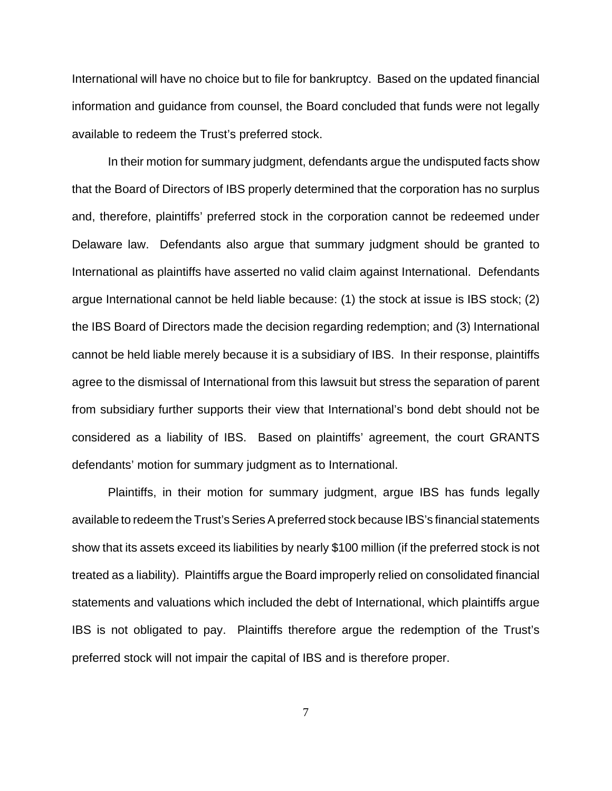International will have no choice but to file for bankruptcy. Based on the updated financial information and guidance from counsel, the Board concluded that funds were not legally available to redeem the Trust's preferred stock.

In their motion for summary judgment, defendants argue the undisputed facts show that the Board of Directors of IBS properly determined that the corporation has no surplus and, therefore, plaintiffs' preferred stock in the corporation cannot be redeemed under Delaware law. Defendants also argue that summary judgment should be granted to International as plaintiffs have asserted no valid claim against International. Defendants argue International cannot be held liable because: (1) the stock at issue is IBS stock; (2) the IBS Board of Directors made the decision regarding redemption; and (3) International cannot be held liable merely because it is a subsidiary of IBS. In their response, plaintiffs agree to the dismissal of International from this lawsuit but stress the separation of parent from subsidiary further supports their view that International's bond debt should not be considered as a liability of IBS. Based on plaintiffs' agreement, the court GRANTS defendants' motion for summary judgment as to International.

Plaintiffs, in their motion for summary judgment, argue IBS has funds legally available to redeem the Trust's Series A preferred stock because IBS's financial statements show that its assets exceed its liabilities by nearly \$100 million (if the preferred stock is not treated as a liability). Plaintiffs argue the Board improperly relied on consolidated financial statements and valuations which included the debt of International, which plaintiffs argue IBS is not obligated to pay. Plaintiffs therefore argue the redemption of the Trust's preferred stock will not impair the capital of IBS and is therefore proper.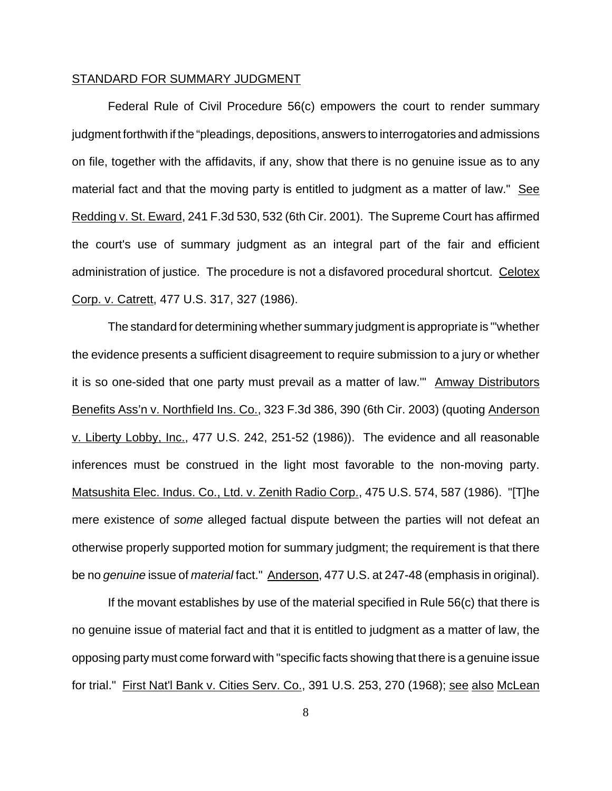### STANDARD FOR SUMMARY JUDGMENT

Federal Rule of Civil Procedure 56(c) empowers the court to render summary judgment forthwith if the "pleadings, depositions, answers to interrogatories and admissions on file, together with the affidavits, if any, show that there is no genuine issue as to any material fact and that the moving party is entitled to judgment as a matter of law." See Redding v. St. Eward, 241 F.3d 530, 532 (6th Cir. 2001). The Supreme Court has affirmed the court's use of summary judgment as an integral part of the fair and efficient administration of justice. The procedure is not a disfavored procedural shortcut. Celotex Corp. v. Catrett, 477 U.S. 317, 327 (1986).

The standard for determining whether summary judgment is appropriate is "'whether the evidence presents a sufficient disagreement to require submission to a jury or whether it is so one-sided that one party must prevail as a matter of law.'" Amway Distributors Benefits Ass'n v. Northfield Ins. Co., 323 F.3d 386, 390 (6th Cir. 2003) (quoting Anderson v. Liberty Lobby, Inc., 477 U.S. 242, 251-52 (1986)). The evidence and all reasonable inferences must be construed in the light most favorable to the non-moving party. Matsushita Elec. Indus. Co., Ltd. v. Zenith Radio Corp., 475 U.S. 574, 587 (1986). "[T]he mere existence of *some* alleged factual dispute between the parties will not defeat an otherwise properly supported motion for summary judgment; the requirement is that there be no *genuine* issue of *material* fact." Anderson, 477 U.S. at 247-48 (emphasis in original).

If the movant establishes by use of the material specified in Rule 56(c) that there is no genuine issue of material fact and that it is entitled to judgment as a matter of law, the opposing party must come forward with "specific facts showing that there is a genuine issue for trial." First Nat'l Bank v. Cities Serv. Co., 391 U.S. 253, 270 (1968); see also McLean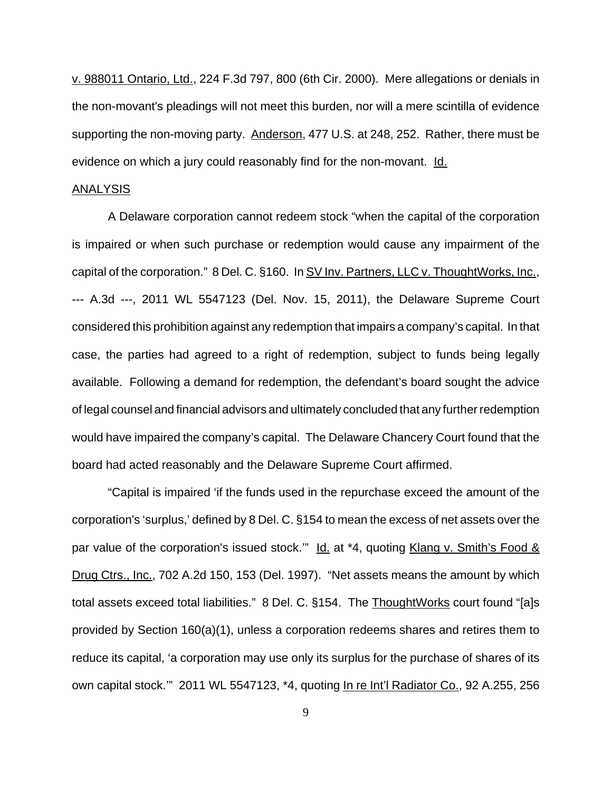v. 988011 Ontario, Ltd., 224 F.3d 797, 800 (6th Cir. 2000). Mere allegations or denials in the non-movant's pleadings will not meet this burden, nor will a mere scintilla of evidence supporting the non-moving party. Anderson, 477 U.S. at 248, 252. Rather, there must be evidence on which a jury could reasonably find for the non-movant. Id.

### ANALYSIS

A Delaware corporation cannot redeem stock "when the capital of the corporation is impaired or when such purchase or redemption would cause any impairment of the capital of the corporation." 8 Del. C. §160. In SV Inv. Partners, LLC v. ThoughtWorks, Inc., --- A.3d ---, 2011 WL 5547123 (Del. Nov. 15, 2011), the Delaware Supreme Court considered this prohibition against any redemption that impairs a company's capital. In that case, the parties had agreed to a right of redemption, subject to funds being legally available. Following a demand for redemption, the defendant's board sought the advice of legal counsel and financial advisors and ultimately concluded that any further redemption would have impaired the company's capital. The Delaware Chancery Court found that the board had acted reasonably and the Delaware Supreme Court affirmed.

"Capital is impaired 'if the funds used in the repurchase exceed the amount of the corporation's 'surplus,' defined by 8 Del. C. §154 to mean the excess of net assets over the par value of the corporation's issued stock." Id. at \*4, quoting Klang v. Smith's Food & Drug Ctrs., Inc., 702 A.2d 150, 153 (Del. 1997). "Net assets means the amount by which total assets exceed total liabilities." 8 Del. C. §154. The ThoughtWorks court found "[a]s provided by Section 160(a)(1), unless a corporation redeems shares and retires them to reduce its capital, 'a corporation may use only its surplus for the purchase of shares of its own capital stock.'" 2011 WL 5547123, \*4, quoting In re Int'l Radiator Co., 92 A.255, 256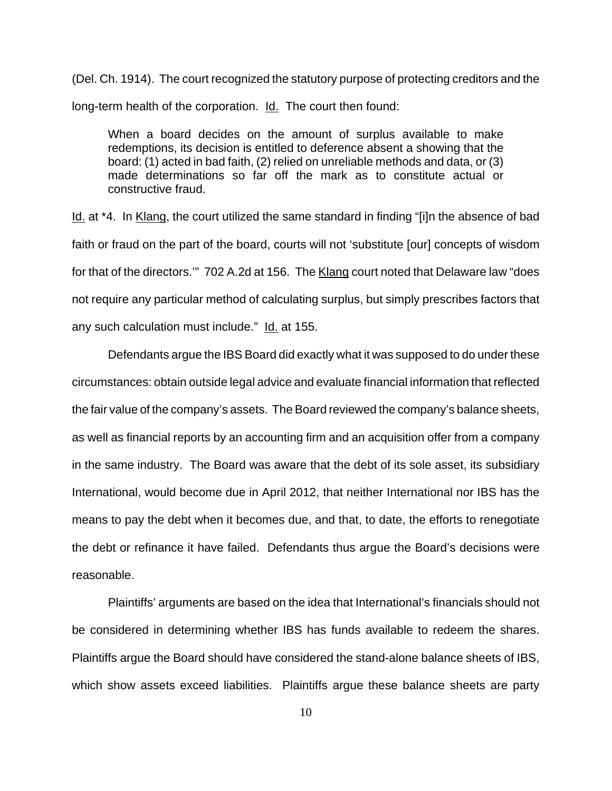(Del. Ch. 1914). The court recognized the statutory purpose of protecting creditors and the long-term health of the corporation. Id. The court then found:

When a board decides on the amount of surplus available to make redemptions, its decision is entitled to deference absent a showing that the board: (1) acted in bad faith, (2) relied on unreliable methods and data, or (3) made determinations so far off the mark as to constitute actual or constructive fraud.

Id. at \*4. In Klang, the court utilized the same standard in finding "[i]n the absence of bad faith or fraud on the part of the board, courts will not 'substitute [our] concepts of wisdom for that of the directors.'" 702 A.2d at 156. The Klang court noted that Delaware law "does not require any particular method of calculating surplus, but simply prescribes factors that any such calculation must include." Id. at 155.

Defendants argue the IBS Board did exactly what it was supposed to do under these circumstances: obtain outside legal advice and evaluate financial information that reflected the fair value of the company's assets. The Board reviewed the company's balance sheets, as well as financial reports by an accounting firm and an acquisition offer from a company in the same industry. The Board was aware that the debt of its sole asset, its subsidiary International, would become due in April 2012, that neither International nor IBS has the means to pay the debt when it becomes due, and that, to date, the efforts to renegotiate the debt or refinance it have failed. Defendants thus argue the Board's decisions were reasonable.

Plaintiffs' arguments are based on the idea that International's financials should not be considered in determining whether IBS has funds available to redeem the shares. Plaintiffs argue the Board should have considered the stand-alone balance sheets of IBS, which show assets exceed liabilities. Plaintiffs argue these balance sheets are party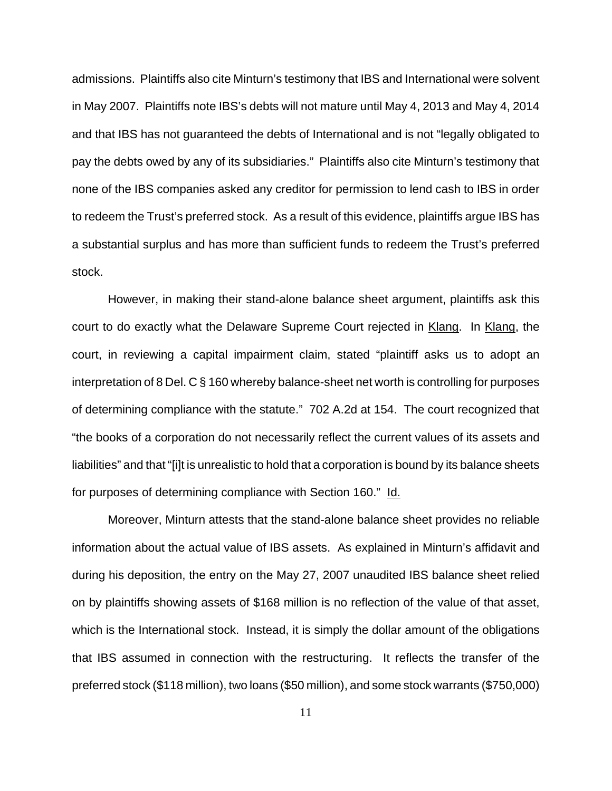admissions. Plaintiffs also cite Minturn's testimony that IBS and International were solvent in May 2007. Plaintiffs note IBS's debts will not mature until May 4, 2013 and May 4, 2014 and that IBS has not guaranteed the debts of International and is not "legally obligated to pay the debts owed by any of its subsidiaries." Plaintiffs also cite Minturn's testimony that none of the IBS companies asked any creditor for permission to lend cash to IBS in order to redeem the Trust's preferred stock. As a result of this evidence, plaintiffs argue IBS has a substantial surplus and has more than sufficient funds to redeem the Trust's preferred stock.

However, in making their stand-alone balance sheet argument, plaintiffs ask this court to do exactly what the Delaware Supreme Court rejected in Klang. In Klang, the court, in reviewing a capital impairment claim, stated "plaintiff asks us to adopt an interpretation of 8 Del. C § 160 whereby balance-sheet net worth is controlling for purposes of determining compliance with the statute." 702 A.2d at 154. The court recognized that "the books of a corporation do not necessarily reflect the current values of its assets and liabilities" and that "[i]t is unrealistic to hold that a corporation is bound by its balance sheets for purposes of determining compliance with Section 160." Id.

Moreover, Minturn attests that the stand-alone balance sheet provides no reliable information about the actual value of IBS assets. As explained in Minturn's affidavit and during his deposition, the entry on the May 27, 2007 unaudited IBS balance sheet relied on by plaintiffs showing assets of \$168 million is no reflection of the value of that asset, which is the International stock. Instead, it is simply the dollar amount of the obligations that IBS assumed in connection with the restructuring. It reflects the transfer of the preferred stock (\$118 million), two loans (\$50 million), and some stock warrants (\$750,000)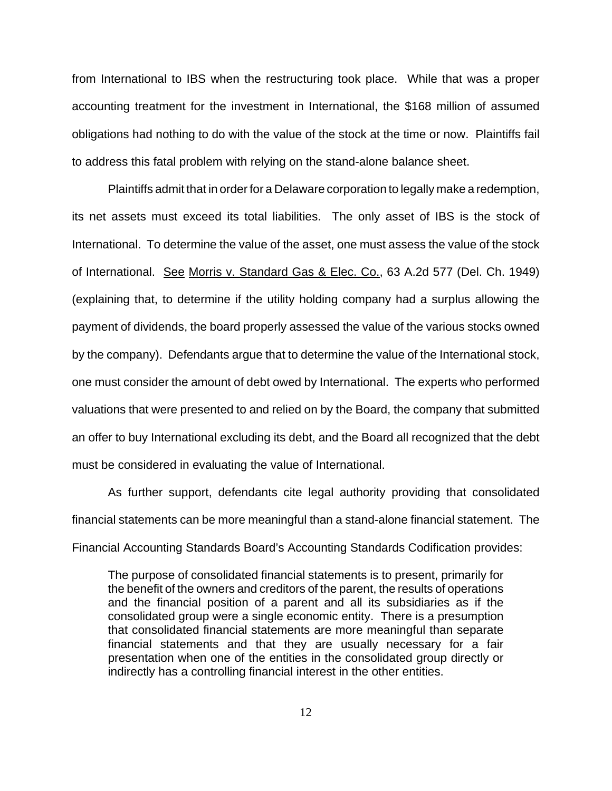from International to IBS when the restructuring took place. While that was a proper accounting treatment for the investment in International, the \$168 million of assumed obligations had nothing to do with the value of the stock at the time or now. Plaintiffs fail to address this fatal problem with relying on the stand-alone balance sheet.

Plaintiffs admit that in order for a Delaware corporation to legally make a redemption, its net assets must exceed its total liabilities. The only asset of IBS is the stock of International. To determine the value of the asset, one must assess the value of the stock of International. See Morris v. Standard Gas & Elec. Co., 63 A.2d 577 (Del. Ch. 1949) (explaining that, to determine if the utility holding company had a surplus allowing the payment of dividends, the board properly assessed the value of the various stocks owned by the company). Defendants argue that to determine the value of the International stock, one must consider the amount of debt owed by International. The experts who performed valuations that were presented to and relied on by the Board, the company that submitted an offer to buy International excluding its debt, and the Board all recognized that the debt must be considered in evaluating the value of International.

As further support, defendants cite legal authority providing that consolidated financial statements can be more meaningful than a stand-alone financial statement. The Financial Accounting Standards Board's Accounting Standards Codification provides:

The purpose of consolidated financial statements is to present, primarily for the benefit of the owners and creditors of the parent, the results of operations and the financial position of a parent and all its subsidiaries as if the consolidated group were a single economic entity. There is a presumption that consolidated financial statements are more meaningful than separate financial statements and that they are usually necessary for a fair presentation when one of the entities in the consolidated group directly or indirectly has a controlling financial interest in the other entities.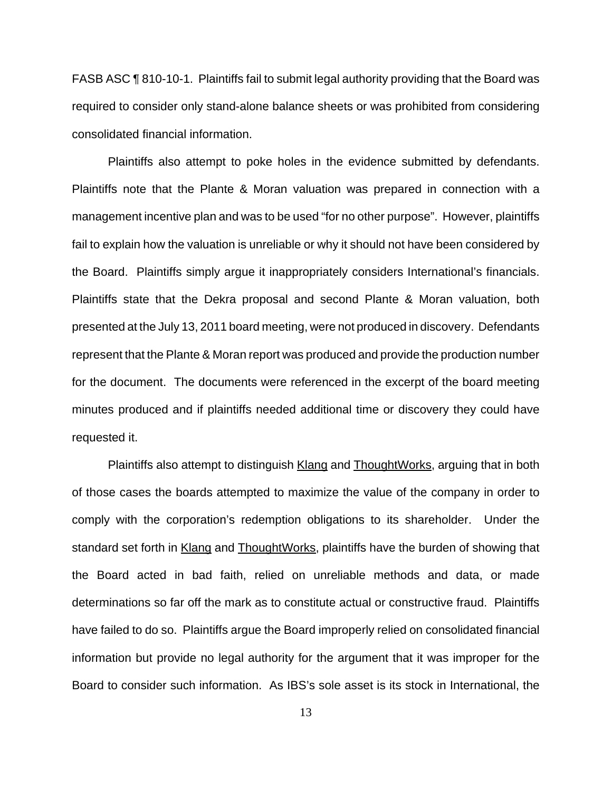FASB ASC ¶ 810-10-1. Plaintiffs fail to submit legal authority providing that the Board was required to consider only stand-alone balance sheets or was prohibited from considering consolidated financial information.

Plaintiffs also attempt to poke holes in the evidence submitted by defendants. Plaintiffs note that the Plante & Moran valuation was prepared in connection with a management incentive plan and was to be used "for no other purpose". However, plaintiffs fail to explain how the valuation is unreliable or why it should not have been considered by the Board. Plaintiffs simply argue it inappropriately considers International's financials. Plaintiffs state that the Dekra proposal and second Plante & Moran valuation, both presented at the July 13, 2011 board meeting, were not produced in discovery. Defendants represent that the Plante & Moran report was produced and provide the production number for the document. The documents were referenced in the excerpt of the board meeting minutes produced and if plaintiffs needed additional time or discovery they could have requested it.

Plaintiffs also attempt to distinguish Klang and ThoughtWorks, arguing that in both of those cases the boards attempted to maximize the value of the company in order to comply with the corporation's redemption obligations to its shareholder. Under the standard set forth in Klang and ThoughtWorks, plaintiffs have the burden of showing that the Board acted in bad faith, relied on unreliable methods and data, or made determinations so far off the mark as to constitute actual or constructive fraud. Plaintiffs have failed to do so. Plaintiffs argue the Board improperly relied on consolidated financial information but provide no legal authority for the argument that it was improper for the Board to consider such information. As IBS's sole asset is its stock in International, the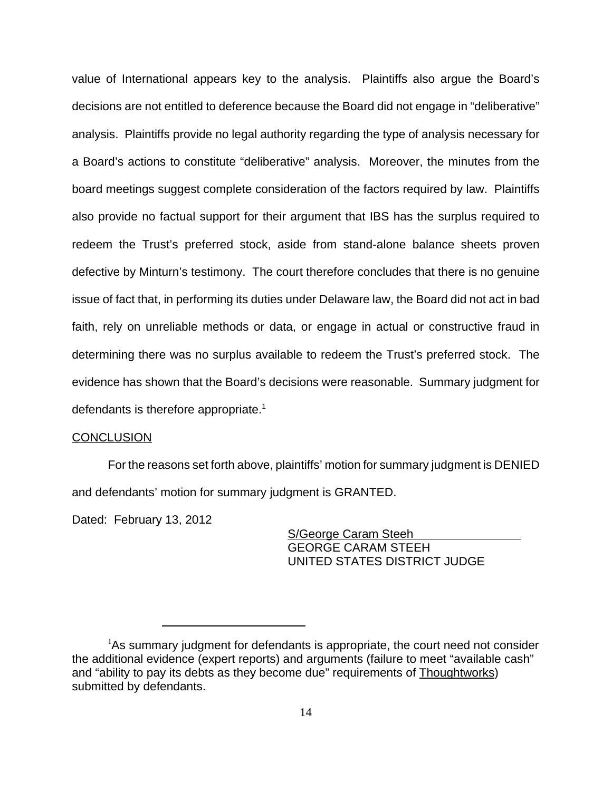value of International appears key to the analysis. Plaintiffs also argue the Board's decisions are not entitled to deference because the Board did not engage in "deliberative" analysis. Plaintiffs provide no legal authority regarding the type of analysis necessary for a Board's actions to constitute "deliberative" analysis. Moreover, the minutes from the board meetings suggest complete consideration of the factors required by law. Plaintiffs also provide no factual support for their argument that IBS has the surplus required to redeem the Trust's preferred stock, aside from stand-alone balance sheets proven defective by Minturn's testimony. The court therefore concludes that there is no genuine issue of fact that, in performing its duties under Delaware law, the Board did not act in bad faith, rely on unreliable methods or data, or engage in actual or constructive fraud in determining there was no surplus available to redeem the Trust's preferred stock. The evidence has shown that the Board's decisions were reasonable. Summary judgment for defendants is therefore appropriate.<sup>1</sup>

### **CONCLUSION**

For the reasons set forth above, plaintiffs' motion for summary judgment is DENIED and defendants' motion for summary judgment is GRANTED.

Dated: February 13, 2012

S/George Caram Steeh GEORGE CARAM STEEH UNITED STATES DISTRICT JUDGE

<sup>&</sup>lt;sup>1</sup>As summary judgment for defendants is appropriate, the court need not consider the additional evidence (expert reports) and arguments (failure to meet "available cash" and "ability to pay its debts as they become due" requirements of Thoughtworks) submitted by defendants.